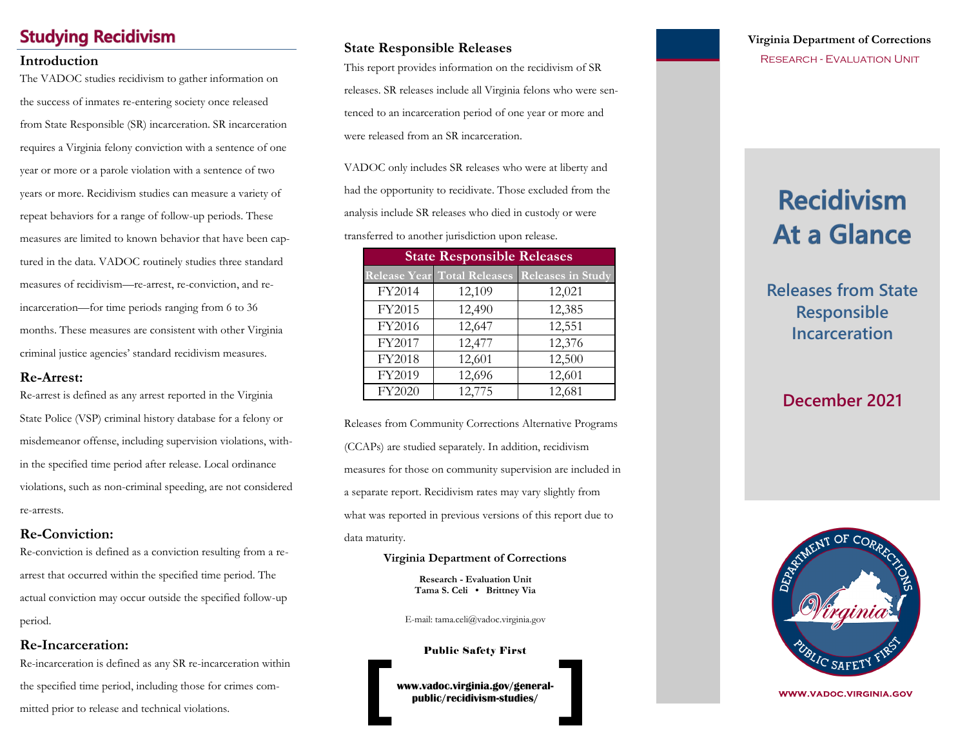### **Studying Recidivism**

The VADOC studies recidivism to gather information on the success of inmates re-entering society once released from State Responsible (SR) incarceration. SR incarceration requires a Virginia felony conviction with a sentence of one year or more or a parole violation with a sentence of two years or more. Recidivism studies can measure a variety of repeat behaviors for a range of follow-up periods. These measures are limited to known behavior that have been captured in the data. VADOC routinely studies three standard measures of recidivism—re-arrest, re-conviction, and reincarceration—for time periods ranging from 6 to 36 months. These measures are consistent with other Virginia criminal justice agencies' standard recidivism measures.

### **Re-Arrest:**

Re-arrest is defined as any arrest reported in the Virginia State Police (VSP) criminal history database for a felony or misdemeanor offense, including supervision violations, within the specified time period after release. Local ordinance violations, such as non-criminal speeding, are not considered re-arrests.

### **Re-Conviction:**

Re-conviction is defined as a conviction resulting from a rearrest that occurred within the specified time period. The actual conviction may occur outside the specified follow-up period.

### **Re-Incarceration:**

Re-incarceration is defined as any SR re-incarceration within the specified time period, including those for crimes committed prior to release and technical violations.

### **State Responsible Releases**

**Introduction**<br>
This report provides information on the recidivism of SR RESEARCH - EVALUATION UNIT releases. SR releases include all Virginia felons who were sentenced to an incarceration period of one year or more and were released from an SR incarceration.

> VADOC only includes SR releases who were at liberty and had the opportunity to recidivate. Those excluded from the analysis include SR releases who died in custody or were

transferred to another jurisdiction upon release.

| <b>State Responsible Releases</b> |                                    |                          |  |  |
|-----------------------------------|------------------------------------|--------------------------|--|--|
|                                   | <b>Release Year Total Releases</b> | <b>Releases in Study</b> |  |  |
| FY2014                            | 12,109                             | 12,021                   |  |  |
| FY2015                            | 12,490                             | 12,385                   |  |  |
| FY2016                            | 12,647                             | 12,551                   |  |  |
| FY2017                            | 12,477                             | 12,376                   |  |  |
| FY2018                            | 12,601                             | 12,500                   |  |  |
| FY2019                            | 12,696                             | 12,601                   |  |  |
| FY2020                            | 12,775                             | 12,681                   |  |  |

Releases from Community Corrections Alternative Programs (CCAPs) are studied separately. In addition, recidivism measures for those on community supervision are included in a separate report. Recidivism rates may vary slightly from what was reported in previous versions of this report due to data maturity.

#### **Virginia Department of Corrections**

**Research - Evaluation Unit Tama S. Celi • Brittney Via** 

E-mail: tama.celi@vadoc.virginia.gov

Public Safety First

**www.vadoc.virginia.gov/generalpublic/recidivism-studies/**

# **Virginia Department of Corrections**

# **Recidivism At a Glance**

**Releases from State Responsible Incarceration**

## **December 2021**



**WWW.VADOC.VIRGINIA.GOV**